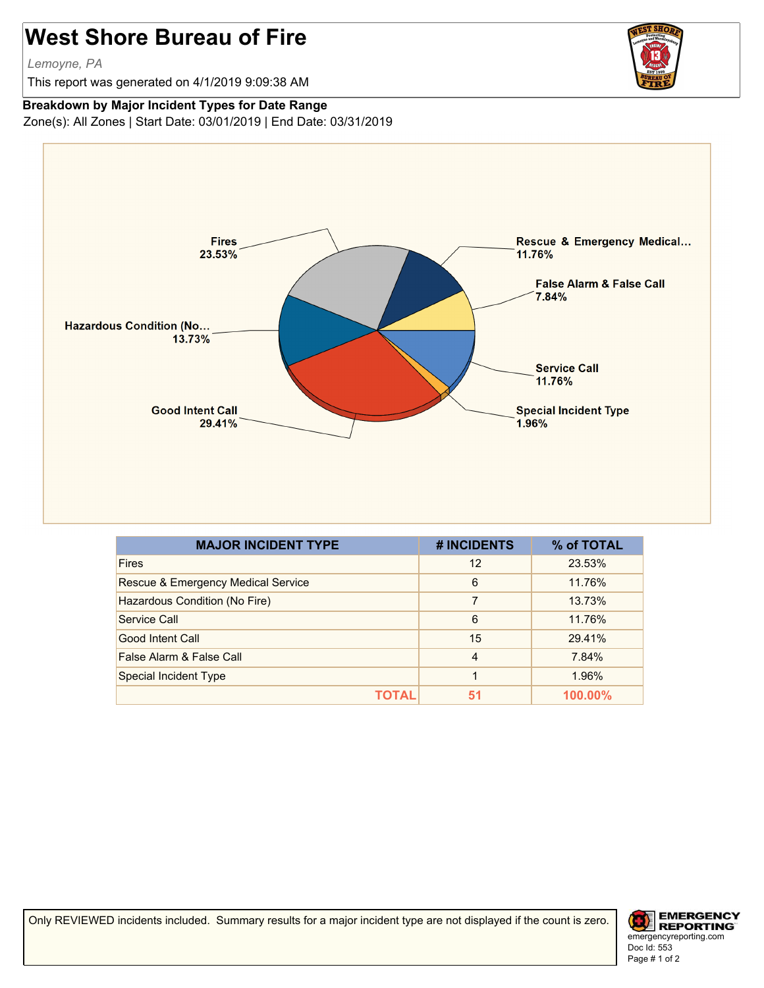## **West Shore Bureau of Fire**

*Lemoyne, PA*

This report was generated on 4/1/2019 9:09:38 AM



## **Breakdown by Major Incident Types for Date Range**

Zone(s): All Zones | Start Date: 03/01/2019 | End Date: 03/31/2019



| <b>MAJOR INCIDENT TYPE</b>         | # INCIDENTS    | % of TOTAL |
|------------------------------------|----------------|------------|
| <b>Fires</b>                       | 12             | 23.53%     |
| Rescue & Emergency Medical Service | 6              | 11.76%     |
| Hazardous Condition (No Fire)      | 7              | 13.73%     |
| Service Call                       | 6              | 11.76%     |
| Good Intent Call                   | 15             | 29.41%     |
| False Alarm & False Call           | $\overline{4}$ | 7.84%      |
| Special Incident Type              | 1              | 1.96%      |
| ΤΩΤΑΙ                              | 51             | $100.00\%$ |

Only REVIEWED incidents included. Summary results for a major incident type are not displayed if the count is zero.